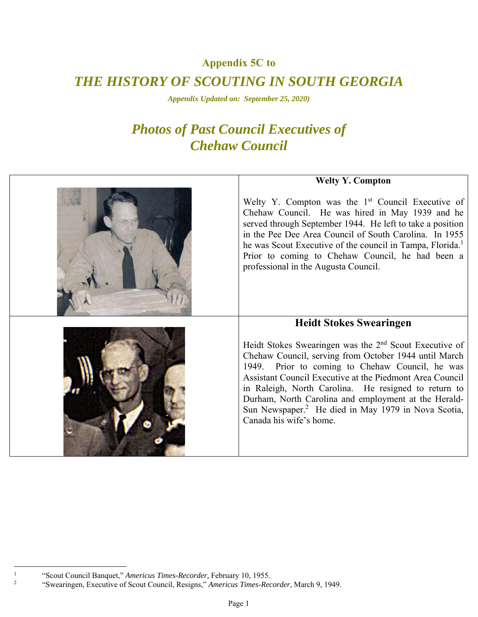### **Appendix 5C to**

# *THE HISTORY OF SCOUTING IN SOUTH GEORGIA*

*Appendix Updated on: September 25, 2020)* 

# *Photos of Past Council Executives of Chehaw Council*

| <b>Welty Y. Compton</b>                                                                                                                                                                                                                                                                                                                                                                                                                           |
|---------------------------------------------------------------------------------------------------------------------------------------------------------------------------------------------------------------------------------------------------------------------------------------------------------------------------------------------------------------------------------------------------------------------------------------------------|
| Welty Y. Compton was the 1 <sup>st</sup> Council Executive of<br>Chehaw Council. He was hired in May 1939 and he<br>served through September 1944. He left to take a position<br>in the Pee Dee Area Council of South Carolina. In 1955<br>he was Scout Executive of the council in Tampa, Florida. <sup>1</sup><br>Prior to coming to Chehaw Council, he had been a<br>professional in the Augusta Council.                                      |
| <b>Heidt Stokes Swearingen</b>                                                                                                                                                                                                                                                                                                                                                                                                                    |
| Heidt Stokes Swearingen was the $2nd$ Scout Executive of<br>Chehaw Council, serving from October 1944 until March<br>Prior to coming to Chehaw Council, he was<br>1949.<br>Assistant Council Executive at the Piedmont Area Council<br>in Raleigh, North Carolina. He resigned to return to<br>Durham, North Carolina and employment at the Herald-<br>Sun Newspaper. <sup>2</sup> He died in May 1979 in Nova Scotia,<br>Canada his wife's home. |

 $\frac{1}{1}$ 

<sup>&</sup>lt;sup>1</sup> "Scout Council Banquet," *Americus Times-Recorder*, February 10, 1955.<br><sup>2</sup> "Swearingen, Executive of Scout Council, Pesigns," *Americus Times, Pes* 

 <sup>&</sup>quot;Swearingen, Executive of Scout Council, Resigns," *Americus Times-Recorder,* March 9, 1949.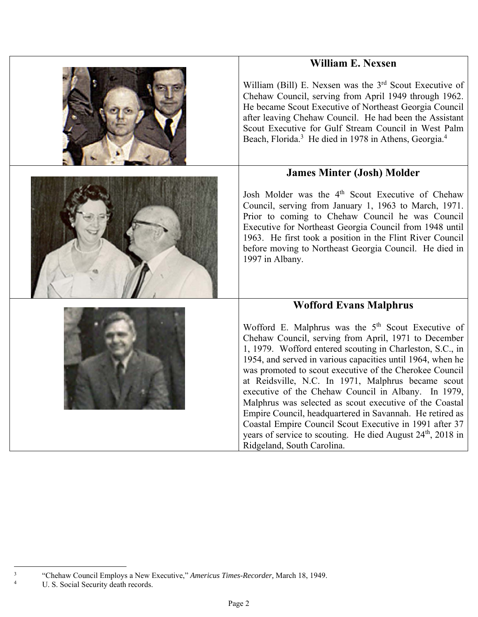## **William E. Nexsen**



William (Bill) E. Nexsen was the  $3<sup>rd</sup>$  Scout Executive of Chehaw Council, serving from April 1949 through 1962. He became Scout Executive of Northeast Georgia Council after leaving Chehaw Council. He had been the Assistant Scout Executive for Gulf Stream Council in West Palm Beach, Florida.<sup>3</sup> He died in 1978 in Athens, Georgia.<sup>4</sup>

#### **James Minter (Josh) Molder**

Josh Molder was the 4<sup>th</sup> Scout Executive of Chehaw Council, serving from January 1, 1963 to March, 1971. Prior to coming to Chehaw Council he was Council Executive for Northeast Georgia Council from 1948 until 1963. He first took a position in the Flint River Council before moving to Northeast Georgia Council. He died in 1997 in Albany.

#### **Wofford Evans Malphrus**

Wofford E. Malphrus was the  $5<sup>th</sup>$  Scout Executive of Chehaw Council, serving from April, 1971 to December 1, 1979. Wofford entered scouting in Charleston, S.C., in 1954, and served in various capacities until 1964, when he was promoted to scout executive of the Cherokee Council at Reidsville, N.C. In 1971, Malphrus became scout executive of the Chehaw Council in Albany. In 1979, Malphrus was selected as scout executive of the Coastal Empire Council, headquartered in Savannah. He retired as Coastal Empire Council Scout Executive in 1991 after 37 years of service to scouting. He died August 24<sup>th</sup>, 2018 in Ridgeland, South Carolina.



U. S. Social Security death records.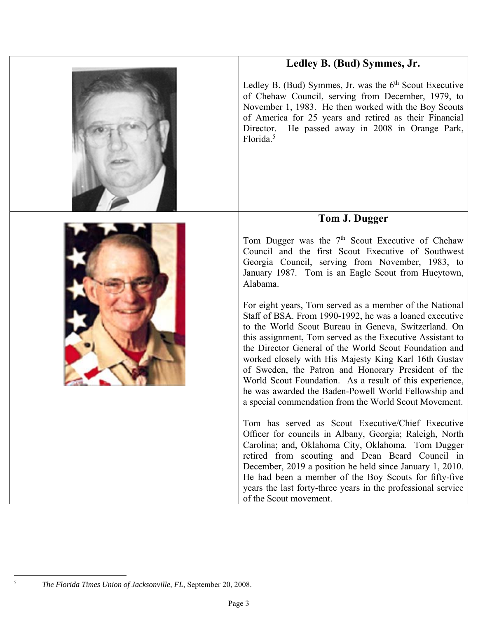



Ledley B. (Bud) Symmes, Jr. was the  $6<sup>th</sup>$  Scout Executive of Chehaw Council, serving from December, 1979, to November 1, 1983. He then worked with the Boy Scouts of America for 25 years and retired as their Financial Director. He passed away in 2008 in Orange Park, Florida.<sup>5</sup>

## **Tom J. Dugger**

Tom Dugger was the  $7<sup>th</sup>$  Scout Executive of Chehaw Council and the first Scout Executive of Southwest Georgia Council, serving from November, 1983, to January 1987. Tom is an Eagle Scout from Hueytown, Alabama.

For eight years, Tom served as a member of the National Staff of BSA. From 1990‐1992, he was a loaned executive to the World Scout Bureau in Geneva, Switzerland. On this assignment, Tom served as the Executive Assistant to the Director General of the World Scout Foundation and worked closely with His Majesty King Karl 16th Gustav of Sweden, the Patron and Honorary President of the World Scout Foundation. As a result of this experience, he was awarded the Baden‐Powell World Fellowship and a special commendation from the World Scout Movement.

Tom has served as Scout Executive/Chief Executive Officer for councils in Albany, Georgia; Raleigh, North Carolina; and, Oklahoma City, Oklahoma. Tom Dugger retired from scouting and Dean Beard Council in December, 2019 a position he held since January 1, 2010. He had been a member of the Boy Scouts for fifty‐five years the last forty‐three years in the professional service of the Scout movement.



5

*The Florida Times Union of Jacksonville, FL*, September 20, 2008.